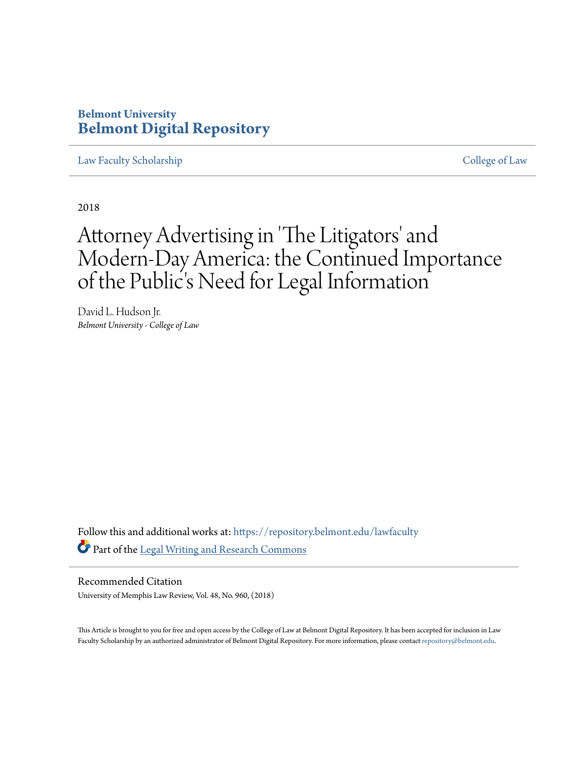# **Belmont University [Belmont Digital Repository](https://repository.belmont.edu?utm_source=repository.belmont.edu%2Flawfaculty%2F129&utm_medium=PDF&utm_campaign=PDFCoverPages)**

[Law Faculty Scholarship](https://repository.belmont.edu/lawfaculty?utm_source=repository.belmont.edu%2Flawfaculty%2F129&utm_medium=PDF&utm_campaign=PDFCoverPages) [College of Law](https://repository.belmont.edu/law?utm_source=repository.belmont.edu%2Flawfaculty%2F129&utm_medium=PDF&utm_campaign=PDFCoverPages)

2018

# Attorney Advertising in 'The Litigators' and Modern-Day America: the Continued Importance of the Public's Need for Legal Information

David L. Hudson Jr. *Belmont University - College of Law*

Follow this and additional works at: [https://repository.belmont.edu/lawfaculty](https://repository.belmont.edu/lawfaculty?utm_source=repository.belmont.edu%2Flawfaculty%2F129&utm_medium=PDF&utm_campaign=PDFCoverPages) Part of the [Legal Writing and Research Commons](http://network.bepress.com/hgg/discipline/614?utm_source=repository.belmont.edu%2Flawfaculty%2F129&utm_medium=PDF&utm_campaign=PDFCoverPages)

Recommended Citation

University of Memphis Law Review, Vol. 48, No. 960, (2018)

This Article is brought to you for free and open access by the College of Law at Belmont Digital Repository. It has been accepted for inclusion in Law Faculty Scholarship by an authorized administrator of Belmont Digital Repository. For more information, please contact [repository@belmont.edu](mailto:repository@belmont.edu).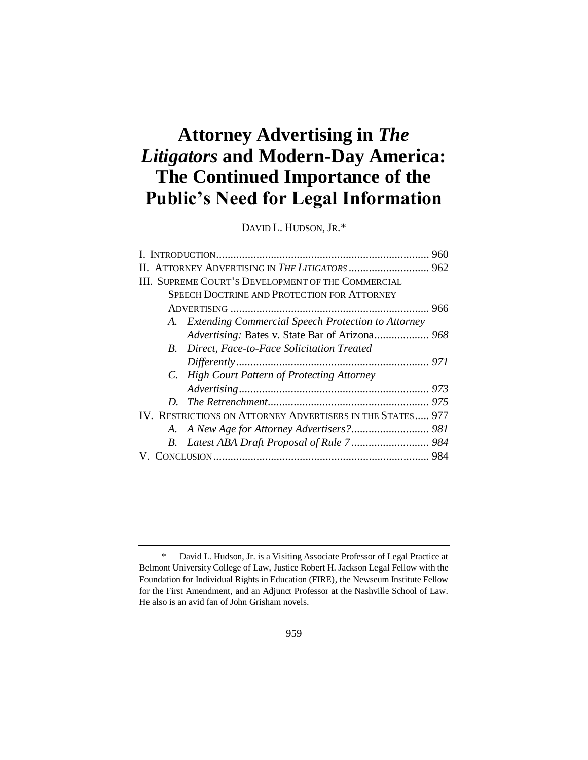# **Attorney Advertising in** *The Litigators* **and Modern-Day America: The Continued Importance of the Public's Need for Legal Information**

DAVID L. HUDSON, JR.\*

| II. ATTORNEY ADVERTISING IN THE LITIGATORS  962            |
|------------------------------------------------------------|
|                                                            |
|                                                            |
|                                                            |
|                                                            |
|                                                            |
|                                                            |
|                                                            |
|                                                            |
|                                                            |
|                                                            |
| IV. RESTRICTIONS ON ATTORNEY ADVERTISERS IN THE STATES 977 |
|                                                            |
|                                                            |
|                                                            |
|                                                            |

<sup>\*</sup> David L. Hudson, Jr. is a Visiting Associate Professor of Legal Practice at Belmont University College of Law, Justice Robert H. Jackson Legal Fellow with the Foundation for Individual Rights in Education (FIRE), the Newseum Institute Fellow for the First Amendment, and an Adjunct Professor at the Nashville School of Law. He also is an avid fan of John Grisham novels.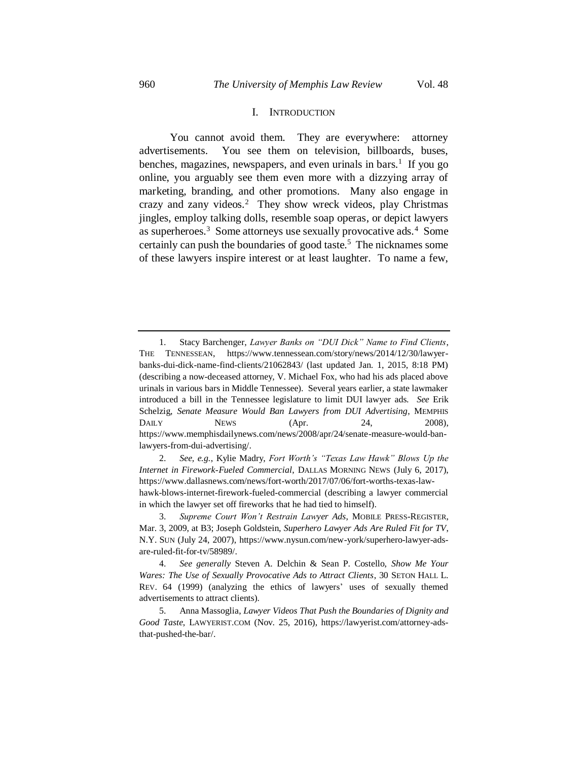#### <span id="page-2-0"></span>I. INTRODUCTION

You cannot avoid them. They are everywhere: attorney advertisements. You see them on television, billboards, buses, benches, magazines, newspapers, and even urinals in bars.<sup>1</sup> If you go online, you arguably see them even more with a dizzying array of marketing, branding, and other promotions. Many also engage in crazy and zany videos.<sup>2</sup> They show wreck videos, play Christmas jingles, employ talking dolls, resemble soap operas, or depict lawyers as superheroes. $3$  Some attorneys use sexually provocative ads. $4$  Some certainly can push the boundaries of good taste.<sup>5</sup> The nicknames some of these lawyers inspire interest or at least laughter. To name a few,

<sup>1.</sup> Stacy Barchenger, *Lawyer Banks on "DUI Dick" Name to Find Clients*, THE TENNESSEAN, https://www.tennessean.com/story/news/2014/12/30/lawyerbanks-dui-dick-name-find-clients/21062843/ (last updated Jan. 1, 2015, 8:18 PM) (describing a now-deceased attorney, V. Michael Fox, who had his ads placed above urinals in various bars in Middle Tennessee). Several years earlier, a state lawmaker introduced a bill in the Tennessee legislature to limit DUI lawyer ads. *See* Erik Schelzig, *Senate Measure Would Ban Lawyers from DUI Advertising*, MEMPHIS DAILY NEWS (Apr. 24, 2008), https://www.memphisdailynews.com/news/2008/apr/24/senate-measure-would-banlawyers-from-dui-advertising/.

<sup>2.</sup> *See, e.g.*, Kylie Madry, *Fort Worth's "Texas Law Hawk" Blows Up the Internet in Firework-Fueled Commercial*, DALLAS MORNING NEWS (July 6, 2017), https://www.dallasnews.com/news/fort-worth/2017/07/06/fort-worths-texas-lawhawk-blows-internet-firework-fueled-commercial (describing a lawyer commercial in which the lawyer set off fireworks that he had tied to himself).

<sup>3.</sup> *Supreme Court Won't Restrain Lawyer Ads*, MOBILE PRESS-REGISTER, Mar. 3, 2009, at B3; Joseph Goldstein, *Superhero Lawyer Ads Are Ruled Fit for TV*, N.Y. SUN (July 24, 2007), https://www.nysun.com/new-york/superhero-lawyer-adsare-ruled-fit-for-tv/58989/.

<sup>4.</sup> *See generally* Steven A. Delchin & Sean P. Costello, *Show Me Your Wares: The Use of Sexually Provocative Ads to Attract Clients*, 30 SETON HALL L. REV. 64 (1999) (analyzing the ethics of lawyers' uses of sexually themed advertisements to attract clients).

<sup>5.</sup> Anna Massoglia, *Lawyer Videos That Push the Boundaries of Dignity and Good Taste*, LAWYERIST.COM (Nov. 25, 2016), https://lawyerist.com/attorney-adsthat-pushed-the-bar/.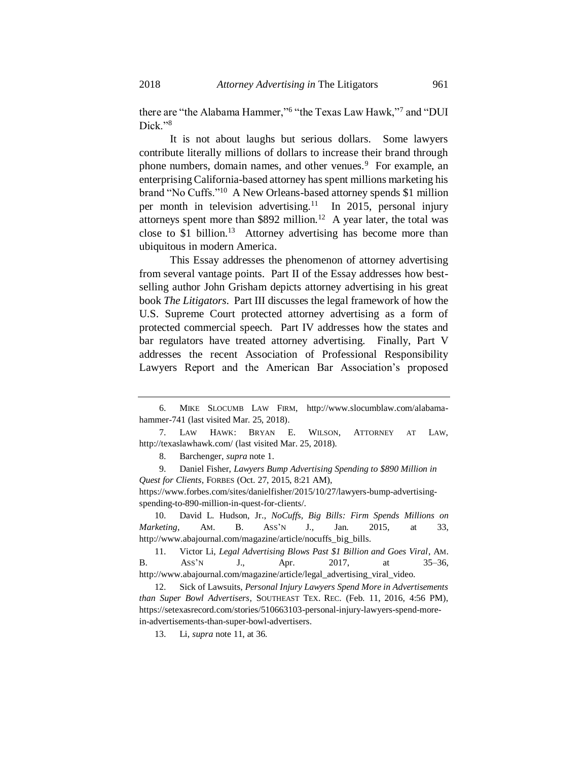there are "the Alabama Hammer,"<sup>6</sup> "the Texas Law Hawk,"<sup>7</sup> and "DUI Dick."<sup>8</sup>

It is not about laughs but serious dollars. Some lawyers contribute literally millions of dollars to increase their brand through phone numbers, domain names, and other venues.<sup>9</sup> For example, an enterprising California-based attorney has spent millions marketing his brand "No Cuffs."<sup>10</sup> A New Orleans-based attorney spends \$1 million per month in television advertising.<sup>11</sup> In 2015, personal injury attorneys spent more than \$892 million.<sup>12</sup> A year later, the total was close to \$1 billion.<sup>13</sup> Attorney advertising has become more than ubiquitous in modern America.

<span id="page-3-0"></span>This Essay addresses the phenomenon of attorney advertising from several vantage points. Part II of the Essay addresses how bestselling author John Grisham depicts attorney advertising in his great book *The Litigators*. Part III discusses the legal framework of how the U.S. Supreme Court protected attorney advertising as a form of protected commercial speech. Part IV addresses how the states and bar regulators have treated attorney advertising. Finally, Part V addresses the recent Association of Professional Responsibility Lawyers Report and the American Bar Association's proposed

8. Barchenger, *supra* not[e 1.](#page-2-0)

9. Daniel Fisher, *Lawyers Bump Advertising Spending to \$890 Million in Quest for Clients*, FORBES (Oct. 27, 2015, 8:21 AM), https://www.forbes.com/sites/danielfisher/2015/10/27/lawyers-bump-advertising-

spending-to-890-million-in-quest-for-clients/.

10. David L. Hudson, Jr., *NoCuffs, Big Bills: Firm Spends Millions on Marketing*, AM. B. ASS'N J., Jan. 2015, at 33, http://www.abajournal.com/magazine/article/nocuffs\_big\_bills.

11. Victor Li, *Legal Advertising Blows Past \$1 Billion and Goes Viral*, AM. B. Ass'N J., Apr. 2017, at 35–36, http://www.abajournal.com/magazine/article/legal\_advertising\_viral\_video.

12. Sick of Lawsuits, *Personal Injury Lawyers Spend More in Advertisements than Super Bowl Advertisers*, SOUTHEAST TEX. REC. (Feb. 11, 2016, 4:56 PM), https://setexasrecord.com/stories/510663103-personal-injury-lawyers-spend-morein-advertisements-than-super-bowl-advertisers.

13. Li, *supra* note [11,](#page-3-0) at 36.

<sup>6.</sup> MIKE SLOCUMB LAW FIRM, http://www.slocumblaw.com/alabamahammer-741 (last visited Mar. 25, 2018).

<sup>7.</sup> LAW HAWK: BRYAN E. WILSON, ATTORNEY AT LAW, http://texaslawhawk.com/ (last visited Mar. 25, 2018).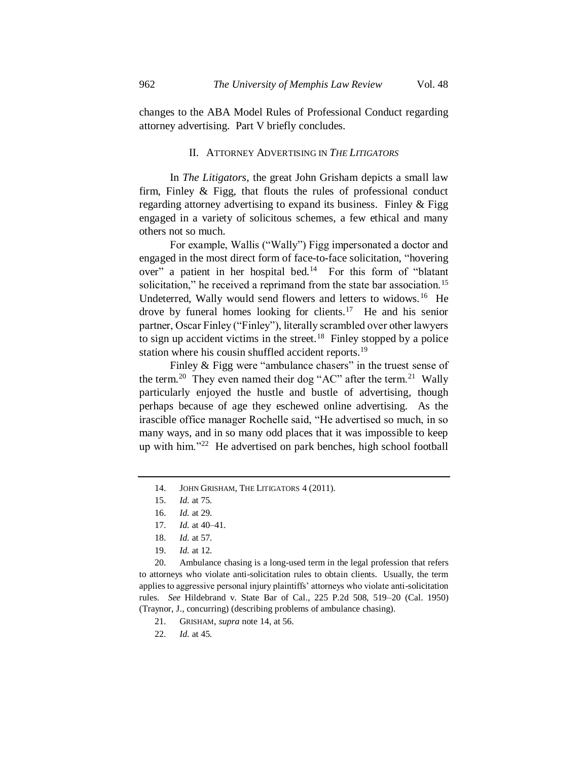changes to the ABA Model Rules of Professional Conduct regarding attorney advertising. Part V briefly concludes.

#### <span id="page-4-0"></span>II. ATTORNEY ADVERTISING IN *THE LITIGATORS*

In *The Litigators*, the great John Grisham depicts a small law firm, Finley & Figg, that flouts the rules of professional conduct regarding attorney advertising to expand its business. Finley & Figg engaged in a variety of solicitous schemes, a few ethical and many others not so much.

For example, Wallis ("Wally") Figg impersonated a doctor and engaged in the most direct form of face-to-face solicitation, "hovering over" a patient in her hospital bed.<sup>14</sup> For this form of "blatant solicitation," he received a reprimand from the state bar association.<sup>15</sup> Undeterred, Wally would send flowers and letters to widows.<sup>16</sup> He drove by funeral homes looking for clients.<sup>17</sup> He and his senior partner, Oscar Finley ("Finley"), literally scrambled over other lawyers to sign up accident victims in the street.<sup>18</sup> Finley stopped by a police station where his cousin shuffled accident reports.<sup>19</sup>

Finley & Figg were "ambulance chasers" in the truest sense of the term.<sup>20</sup> They even named their dog "AC" after the term.<sup>21</sup> Wally particularly enjoyed the hustle and bustle of advertising, though perhaps because of age they eschewed online advertising. As the irascible office manager Rochelle said, "He advertised so much, in so many ways, and in so many odd places that it was impossible to keep up with him."<sup>22</sup> He advertised on park benches, high school football

20. Ambulance chasing is a long-used term in the legal profession that refers to attorneys who violate anti-solicitation rules to obtain clients. Usually, the term applies to aggressive personal injury plaintiffs' attorneys who violate anti-solicitation rules. *See* Hildebrand v. State Bar of Cal., 225 P.2d 508, 519–20 (Cal. 1950) (Traynor, J., concurring) (describing problems of ambulance chasing).

<sup>14.</sup> JOHN GRISHAM, THE LITIGATORS 4 (2011).

<sup>15.</sup> *Id.* at 75.

<sup>16.</sup> *Id.* at 29.

<sup>17.</sup> *Id.* at 40–41.

<sup>18.</sup> *Id.* at 57.

<sup>19.</sup> *Id.* at 12.

<sup>21.</sup> GRISHAM, *supra* not[e 14,](#page-4-0) at 56.

<sup>22.</sup> *Id.* at 45.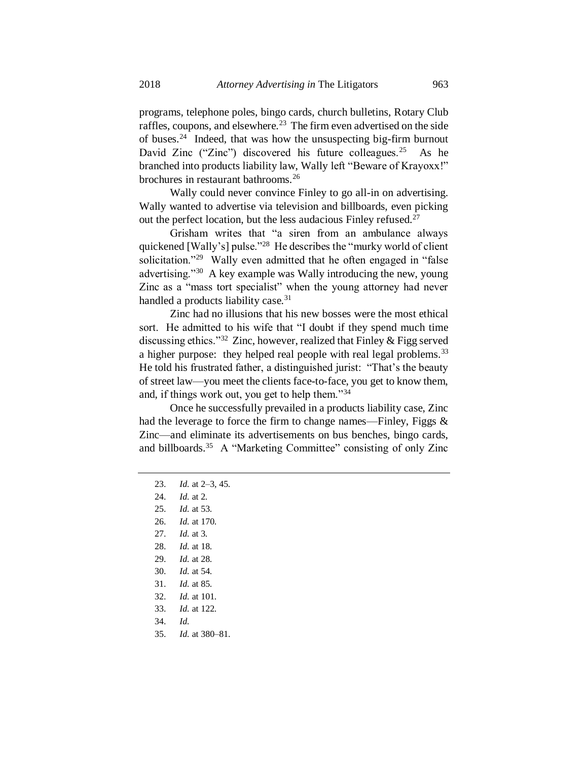programs, telephone poles, bingo cards, church bulletins, Rotary Club raffles, coupons, and elsewhere.<sup>23</sup> The firm even advertised on the side of buses.<sup>24</sup> Indeed, that was how the unsuspecting big-firm burnout David Zinc ("Zinc") discovered his future colleagues.<sup>25</sup> As he branched into products liability law, Wally left "Beware of Krayoxx!" brochures in restaurant bathrooms.<sup>26</sup>

Wally could never convince Finley to go all-in on advertising. Wally wanted to advertise via television and billboards, even picking out the perfect location, but the less audacious Finley refused.<sup>27</sup>

Grisham writes that "a siren from an ambulance always quickened [Wally's] pulse."<sup>28</sup> He describes the "murky world of client solicitation."<sup>29</sup> Wally even admitted that he often engaged in "false" advertising."<sup>30</sup> A key example was Wally introducing the new, young Zinc as a "mass tort specialist" when the young attorney had never handled a products liability case.<sup>31</sup>

Zinc had no illusions that his new bosses were the most ethical sort. He admitted to his wife that "I doubt if they spend much time discussing ethics."<sup>32</sup> Zinc, however, realized that Finley & Figg served a higher purpose: they helped real people with real legal problems.<sup>33</sup> He told his frustrated father, a distinguished jurist: "That's the beauty of street law—you meet the clients face-to-face, you get to know them, and, if things work out, you get to help them."<sup>34</sup>

Once he successfully prevailed in a products liability case, Zinc had the leverage to force the firm to change names—Finley, Figgs & Zinc—and eliminate its advertisements on bus benches, bingo cards, and billboards.<sup>35</sup> A "Marketing Committee" consisting of only Zinc

- 28. *Id.* at 18.
- 29. *Id.* at 28.
- 30. *Id.* at 54.
- 31. *Id.* at 85.
- 32. *Id.* at 101.
- 33. *Id.* at 122.
- 34. *Id.*
- 35. *Id.* at 380–81.

<sup>23.</sup> *Id.* at 2–3, 45.

<sup>24.</sup> *Id.* at 2.

<sup>25.</sup> *Id.* at 53.

<sup>26.</sup> *Id.* at 170.

<sup>27.</sup> *Id.* at 3.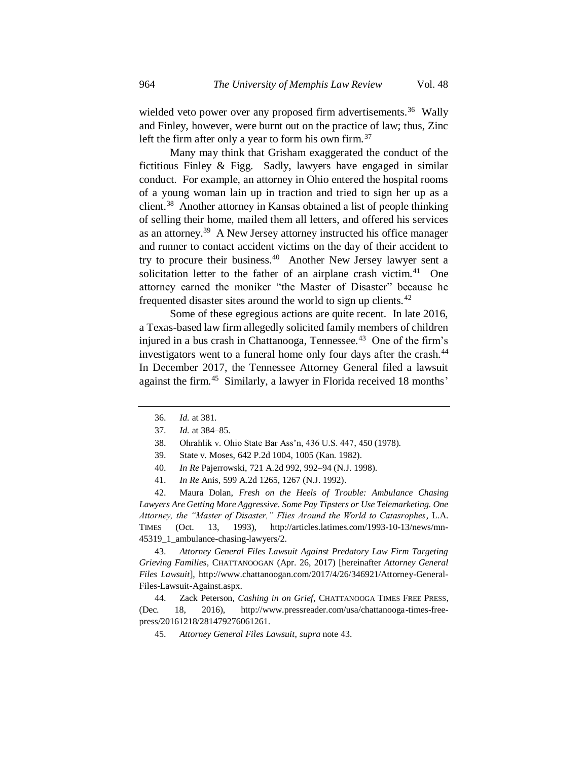wielded veto power over any proposed firm advertisements.<sup>36</sup> Wally and Finley, however, were burnt out on the practice of law; thus, Zinc left the firm after only a year to form his own firm.<sup>37</sup>

Many may think that Grisham exaggerated the conduct of the fictitious Finley & Figg. Sadly, lawyers have engaged in similar conduct. For example, an attorney in Ohio entered the hospital rooms of a young woman lain up in traction and tried to sign her up as a client.<sup>38</sup> Another attorney in Kansas obtained a list of people thinking of selling their home, mailed them all letters, and offered his services as an attorney.<sup>39</sup> A New Jersey attorney instructed his office manager and runner to contact accident victims on the day of their accident to try to procure their business.<sup>40</sup> Another New Jersey lawyer sent a solicitation letter to the father of an airplane crash victim. $41$  One attorney earned the moniker "the Master of Disaster" because he frequented disaster sites around the world to sign up clients.<sup>42</sup>

Some of these egregious actions are quite recent. In late 2016, a Texas-based law firm allegedly solicited family members of children injured in a bus crash in Chattanooga, Tennessee.<sup>43</sup> One of the firm's investigators went to a funeral home only four days after the crash.<sup>44</sup> In December 2017, the Tennessee Attorney General filed a lawsuit against the firm.<sup>45</sup> Similarly, a lawyer in Florida received 18 months'

42. Maura Dolan, *Fresh on the Heels of Trouble: Ambulance Chasing Lawyers Are Getting More Aggressive. Some Pay Tipsters or Use Telemarketing. One Attorney, the "Master of Disaster," Flies Around the World to Catasrophes*, L.A. TIMES (Oct. 13, 1993), http://articles.latimes.com/1993-10-13/news/mn-45319\_1\_ambulance-chasing-lawyers/2.

43. *Attorney General Files Lawsuit Against Predatory Law Firm Targeting Grieving Families*, CHATTANOOGAN (Apr. 26, 2017) [hereinafter *Attorney General Files Lawsuit*], http://www.chattanoogan.com/2017/4/26/346921/Attorney-General-Files-Lawsuit-Against.aspx.

44. Zack Peterson, *Cashing in on Grief*, CHATTANOOGA TIMES FREE PRESS, (Dec. 18, 2016), http://www.pressreader.com/usa/chattanooga-times-freepress/20161218/281479276061261.

45. *Attorney General Files Lawsuit*, *supra* not[e 43.](#page-6-0)

<span id="page-6-0"></span><sup>36.</sup> *Id.* at 381.

<sup>37.</sup> *Id.* at 384–85.

<sup>38.</sup> Ohrahlik v. Ohio State Bar Ass'n, 436 U.S. 447, 450 (1978).

<sup>39.</sup> State v. Moses, 642 P.2d 1004, 1005 (Kan. 1982).

<sup>40.</sup> *In Re* Pajerrowski, 721 A.2d 992, 992–94 (N.J. 1998).

<sup>41.</sup> *In Re* Anis, 599 A.2d 1265, 1267 (N.J. 1992).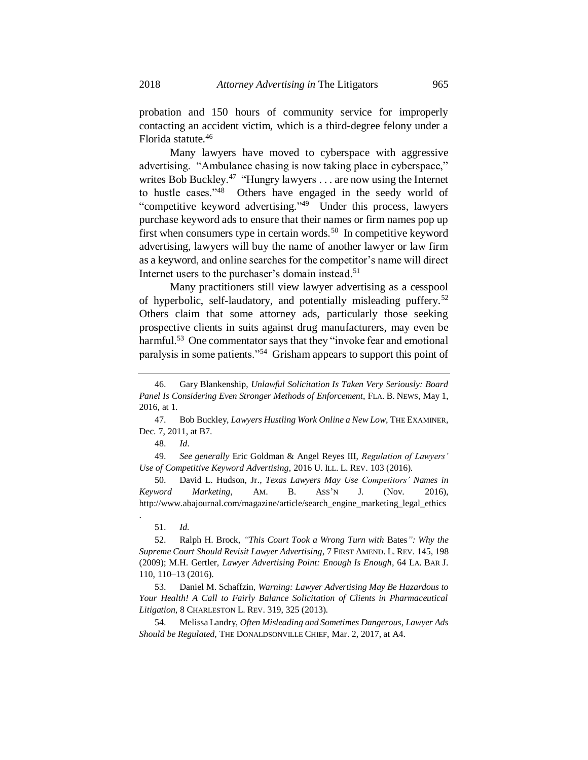probation and 150 hours of community service for improperly contacting an accident victim, which is a third-degree felony under a Florida statute.<sup>46</sup>

Many lawyers have moved to cyberspace with aggressive advertising. "Ambulance chasing is now taking place in cyberspace," writes Bob Buckley.<sup>47</sup> "Hungry lawyers  $\dots$  are now using the Internet to hustle cases."<sup>48</sup> Others have engaged in the seedy world of "competitive keyword advertising."<sup>49</sup> Under this process, lawyers purchase keyword ads to ensure that their names or firm names pop up first when consumers type in certain words.<sup>50</sup> In competitive keyword advertising, lawyers will buy the name of another lawyer or law firm as a keyword, and online searches for the competitor's name will direct Internet users to the purchaser's domain instead. 51

Many practitioners still view lawyer advertising as a cesspool of hyperbolic, self-laudatory, and potentially misleading puffery.<sup>52</sup> Others claim that some attorney ads, particularly those seeking prospective clients in suits against drug manufacturers, may even be harmful.<sup>53</sup> One commentator says that they "invoke fear and emotional paralysis in some patients."<sup>54</sup> Grisham appears to support this point of

50. David L. Hudson, Jr., *Texas Lawyers May Use Competitors' Names in Keyword Marketing*, AM. B. ASS'N J. (Nov. 2016), http://www.abajournal.com/magazine/article/search\_engine\_marketing\_legal\_ethics

.

<sup>46.</sup> Gary Blankenship, *Unlawful Solicitation Is Taken Very Seriously: Board Panel Is Considering Even Stronger Methods of Enforcement*, FLA. B. NEWS, May 1, 2016, at 1.

<sup>47.</sup> Bob Buckley, *Lawyers Hustling Work Online a New Low*, THE EXAMINER, Dec. 7, 2011, at B7.

<sup>48.</sup> *Id*.

<sup>49.</sup> *See generally* Eric Goldman & Angel Reyes III, *Regulation of Lawyers' Use of Competitive Keyword Advertising*, 2016 U. ILL. L. REV. 103 (2016).

<sup>51.</sup> *Id.*

<sup>52.</sup> Ralph H. Brock, *"This Court Took a Wrong Turn with* Bates*": Why the Supreme Court Should Revisit Lawyer Advertising*, 7 FIRST AMEND. L. REV. 145, 198 (2009); M.H. Gertler, *Lawyer Advertising Point: Enough Is Enough*, 64 LA. BAR J. 110, 110–13 (2016).

<sup>53.</sup> Daniel M. Schaffzin, *Warning: Lawyer Advertising May Be Hazardous to Your Health! A Call to Fairly Balance Solicitation of Clients in Pharmaceutical Litigation*, 8 CHARLESTON L. REV. 319, 325 (2013).

<sup>54.</sup> Melissa Landry, *Often Misleading and Sometimes Dangerous, Lawyer Ads Should be Regulated*, THE DONALDSONVILLE CHIEF, Mar. 2, 2017, at A4.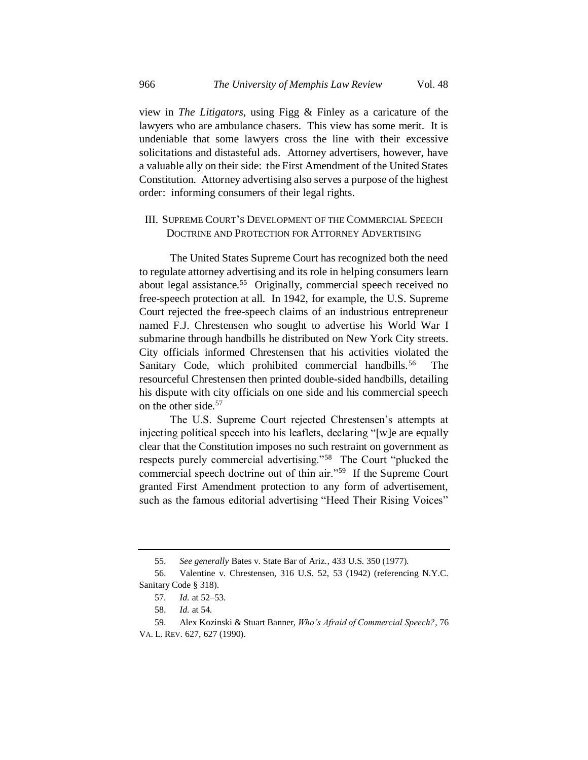view in *The Litigators*, using Figg & Finley as a caricature of the lawyers who are ambulance chasers. This view has some merit. It is undeniable that some lawyers cross the line with their excessive solicitations and distasteful ads. Attorney advertisers, however, have a valuable ally on their side: the First Amendment of the United States Constitution. Attorney advertising also serves a purpose of the highest order: informing consumers of their legal rights.

### III. SUPREME COURT'S DEVELOPMENT OF THE COMMERCIAL SPEECH DOCTRINE AND PROTECTION FOR ATTORNEY ADVERTISING

The United States Supreme Court has recognized both the need to regulate attorney advertising and its role in helping consumers learn about legal assistance.<sup>55</sup> Originally, commercial speech received no free-speech protection at all. In 1942, for example, the U.S. Supreme Court rejected the free-speech claims of an industrious entrepreneur named F.J. Chrestensen who sought to advertise his World War I submarine through handbills he distributed on New York City streets. City officials informed Chrestensen that his activities violated the Sanitary Code, which prohibited commercial handbills.<sup>56</sup> The resourceful Chrestensen then printed double-sided handbills, detailing his dispute with city officials on one side and his commercial speech on the other side.<sup>57</sup>

The U.S. Supreme Court rejected Chrestensen's attempts at injecting political speech into his leaflets, declaring "[w]e are equally clear that the Constitution imposes no such restraint on government as respects purely commercial advertising."<sup>58</sup> The Court "plucked the commercial speech doctrine out of thin air."<sup>59</sup> If the Supreme Court granted First Amendment protection to any form of advertisement, such as the famous editorial advertising "Heed Their Rising Voices"

<sup>55.</sup> *See generally* Bates v. State Bar of Ariz., 433 U.S. 350 (1977).

<sup>56.</sup> Valentine v. Chrestensen, 316 U.S. 52, 53 (1942) (referencing N.Y.C. Sanitary Code § 318).

<sup>57.</sup> *Id.* at 52–53.

<sup>58.</sup> *Id.* at 54.

<sup>59.</sup> Alex Kozinski & Stuart Banner, *Who's Afraid of Commercial Speech?*, 76 VA. L. REV. 627, 627 (1990).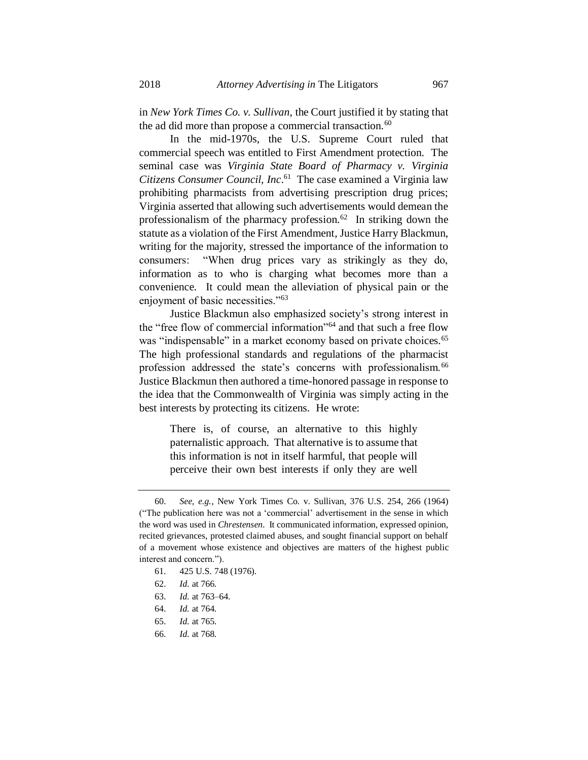in *New York Times Co. v. Sullivan*, the Court justified it by stating that the ad did more than propose a commercial transaction. $60$ 

In the mid-1970s, the U.S. Supreme Court ruled that commercial speech was entitled to First Amendment protection. The seminal case was *Virginia State Board of Pharmacy v. Virginia Citizens Consumer Council, Inc*. 61 The case examined a Virginia law prohibiting pharmacists from advertising prescription drug prices; Virginia asserted that allowing such advertisements would demean the professionalism of the pharmacy profession.<sup>62</sup> In striking down the statute as a violation of the First Amendment, Justice Harry Blackmun, writing for the majority, stressed the importance of the information to consumers: "When drug prices vary as strikingly as they do, information as to who is charging what becomes more than a convenience. It could mean the alleviation of physical pain or the enjoyment of basic necessities."<sup>63</sup>

Justice Blackmun also emphasized society's strong interest in the "free flow of commercial information"<sup>64</sup> and that such a free flow was "indispensable" in a market economy based on private choices.<sup>65</sup> The high professional standards and regulations of the pharmacist profession addressed the state's concerns with professionalism.<sup>66</sup> Justice Blackmun then authored a time-honored passage in response to the idea that the Commonwealth of Virginia was simply acting in the best interests by protecting its citizens. He wrote:

There is, of course, an alternative to this highly paternalistic approach. That alternative is to assume that this information is not in itself harmful, that people will perceive their own best interests if only they are well

- 64. *Id.* at 764.
- 65. *Id.* at 765.
- 66. *Id.* at 768.

<sup>60.</sup> *See, e.g.*, New York Times Co. v. Sullivan, 376 U.S. 254, 266 (1964) ("The publication here was not a 'commercial' advertisement in the sense in which the word was used in *Chrestensen*. It communicated information, expressed opinion, recited grievances, protested claimed abuses, and sought financial support on behalf of a movement whose existence and objectives are matters of the highest public interest and concern.").

<sup>61.</sup> 425 U.S. 748 (1976).

<sup>62.</sup> *Id.* at 766.

<sup>63.</sup> *Id.* at 763–64.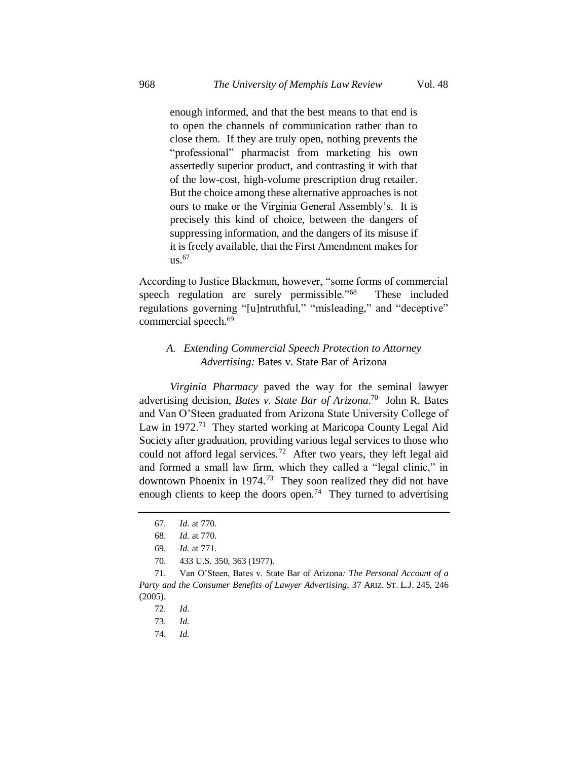enough informed, and that the best means to that end is to open the channels of communication rather than to close them. If they are truly open, nothing prevents the "professional" pharmacist from marketing his own assertedly superior product, and contrasting it with that of the low-cost, high-volume prescription drug retailer. But the choice among these alternative approaches is not ours to make or the Virginia General Assembly's. It is precisely this kind of choice, between the dangers of suppressing information, and the dangers of its misuse if it is freely available, that the First Amendment makes for  $us.<sup>67</sup>$ 

According to Justice Blackmun, however, "some forms of commercial speech regulation are surely permissible."<sup>68</sup> These included regulations governing "[u]ntruthful," "misleading," and "deceptive" commercial speech.<sup>69</sup>

## *A. Extending Commercial Speech Protection to Attorney Advertising:* Bates v. State Bar of Arizona

<span id="page-10-0"></span>*Virginia Pharmacy* paved the way for the seminal lawyer advertising decision, *Bates v. State Bar of Arizona*. 70 John R. Bates and Van O'Steen graduated from Arizona State University College of Law in 1972.<sup>71</sup> They started working at Maricopa County Legal Aid Society after graduation, providing various legal services to those who could not afford legal services.<sup>72</sup> After two years, they left legal aid and formed a small law firm, which they called a "legal clinic," in downtown Phoenix in 1974.<sup>73</sup> They soon realized they did not have enough clients to keep the doors open.<sup>74</sup> They turned to advertising

74. *Id.*

<sup>67.</sup> *Id.* at 770.

<sup>68.</sup> *Id.* at 770.

<sup>69.</sup> *Id.* at 771.

<sup>70.</sup> 433 U.S. 350, 363 (1977).

<sup>71.</sup> Van O'Steen, Bates v. State Bar of Arizona*: The Personal Account of a Party and the Consumer Benefits of Lawyer Advertising*, 37 ARIZ. ST. L.J. 245, 246 (2005).

<sup>72.</sup> *Id.*

<sup>73.</sup> *Id.*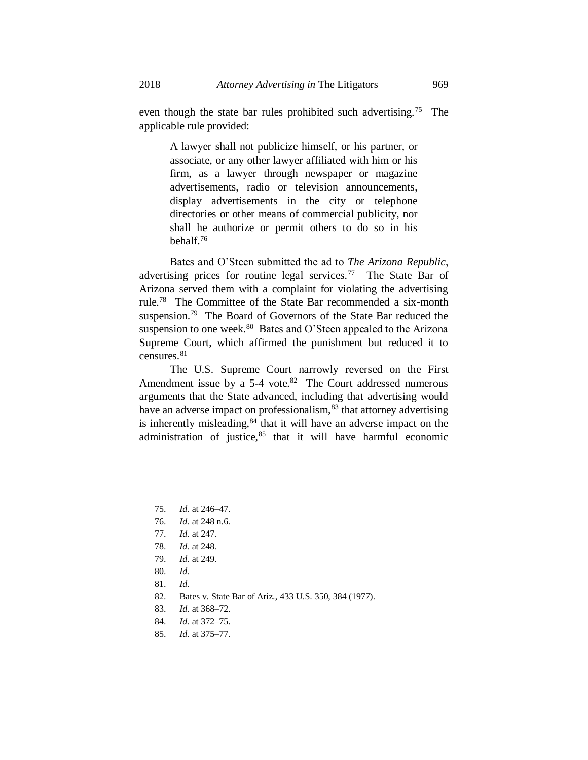even though the state bar rules prohibited such advertising.<sup>75</sup> The applicable rule provided:

A lawyer shall not publicize himself, or his partner, or associate, or any other lawyer affiliated with him or his firm, as a lawyer through newspaper or magazine advertisements, radio or television announcements, display advertisements in the city or telephone directories or other means of commercial publicity, nor shall he authorize or permit others to do so in his behalf.<sup>76</sup>

Bates and O'Steen submitted the ad to *The Arizona Republic*, advertising prices for routine legal services.<sup>77</sup> The State Bar of Arizona served them with a complaint for violating the advertising rule.<sup>78</sup> The Committee of the State Bar recommended a six-month suspension.<sup>79</sup> The Board of Governors of the State Bar reduced the suspension to one week.<sup>80</sup> Bates and O'Steen appealed to the Arizona Supreme Court, which affirmed the punishment but reduced it to censures.<sup>81</sup>

The U.S. Supreme Court narrowly reversed on the First Amendment issue by a  $5-4$  vote.<sup>82</sup> The Court addressed numerous arguments that the State advanced, including that advertising would have an adverse impact on professionalism, <sup>83</sup> that attorney advertising is inherently misleading, $84$  that it will have an adverse impact on the administration of justice,<sup>85</sup> that it will have harmful economic

- 76. *Id.* at 248 n.6.
- 77. *Id.* at 247.
- 78. *Id.* at 248.
- 79. *Id.* at 249.
- 80. *Id.*
- 81. *Id.*
- 82. Bates v. State Bar of Ariz., 433 U.S. 350, 384 (1977).
- 83. *Id.* at 368–72.
- 84. *Id.* at 372–75.
- 85. *Id.* at 375–77.

<sup>75.</sup> *Id.* at 246–47.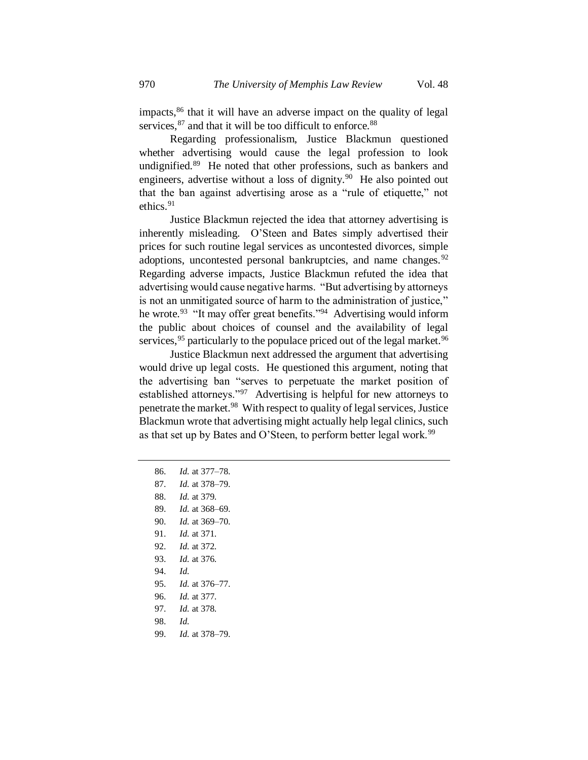impacts,<sup>86</sup> that it will have an adverse impact on the quality of legal services,  $87$  and that it will be too difficult to enforce.  $88$ 

Regarding professionalism, Justice Blackmun questioned whether advertising would cause the legal profession to look undignified.<sup>89</sup> He noted that other professions, such as bankers and engineers, advertise without a loss of dignity. $90$  He also pointed out that the ban against advertising arose as a "rule of etiquette," not ethics.<sup>91</sup>

Justice Blackmun rejected the idea that attorney advertising is inherently misleading. O'Steen and Bates simply advertised their prices for such routine legal services as uncontested divorces, simple adoptions, uncontested personal bankruptcies, and name changes.<sup>92</sup> Regarding adverse impacts, Justice Blackmun refuted the idea that advertising would cause negative harms. "But advertising by attorneys is not an unmitigated source of harm to the administration of justice," he wrote.<sup>93</sup> "It may offer great benefits."<sup>94</sup> Advertising would inform the public about choices of counsel and the availability of legal services, <sup>95</sup> particularly to the populace priced out of the legal market.<sup>96</sup>

Justice Blackmun next addressed the argument that advertising would drive up legal costs. He questioned this argument, noting that the advertising ban "serves to perpetuate the market position of established attorneys."<sup>97</sup> Advertising is helpful for new attorneys to penetrate the market.<sup>98</sup> With respect to quality of legal services, Justice Blackmun wrote that advertising might actually help legal clinics, such as that set up by Bates and O'Steen, to perform better legal work.<sup>99</sup>

- 86. *Id.* at 377–78.
- 87. *Id.* at 378–79.
- 88. *Id.* at 379.
- 89. *Id.* at 368–69.
- 90. *Id.* at 369–70.
- 91. *Id.* at 371.
- 92. *Id.* at 372.
- 93. *Id.* at 376.
- 94. *Id.*
- 95. *Id.* at 376–77.
- 96. *Id.* at 377.
- 97. *Id.* at 378.
- 98. *Id.*
- 99. *Id.* at 378–79.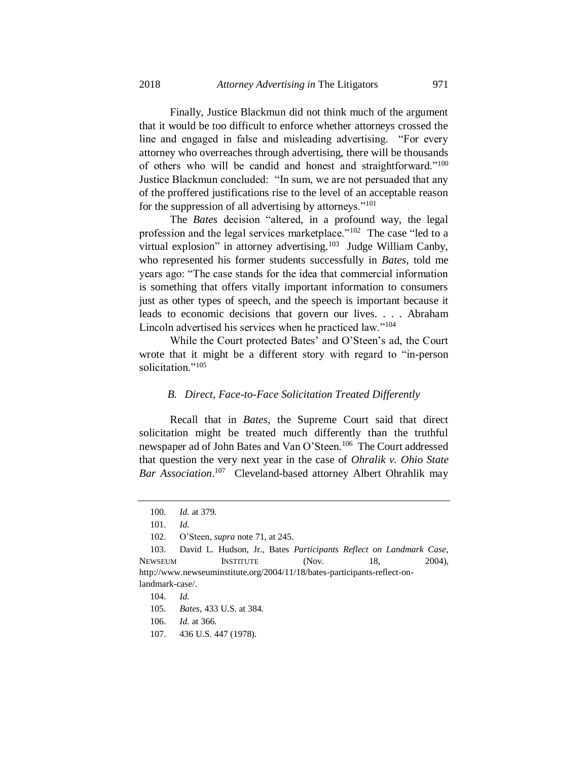Finally, Justice Blackmun did not think much of the argument that it would be too difficult to enforce whether attorneys crossed the line and engaged in false and misleading advertising. "For every attorney who overreaches through advertising, there will be thousands of others who will be candid and honest and straightforward."<sup>100</sup> Justice Blackmun concluded: "In sum, we are not persuaded that any of the proffered justifications rise to the level of an acceptable reason for the suppression of all advertising by attorneys."<sup>101</sup>

The *Bates* decision "altered, in a profound way, the legal profession and the legal services marketplace."<sup>102</sup> The case "led to a virtual explosion" in attorney advertising.<sup>103</sup> Judge William Canby, who represented his former students successfully in *Bates*, told me years ago: "The case stands for the idea that commercial information is something that offers vitally important information to consumers just as other types of speech, and the speech is important because it leads to economic decisions that govern our lives. . . . Abraham Lincoln advertised his services when he practiced law."<sup>104</sup>

While the Court protected Bates' and O'Steen's ad, the Court wrote that it might be a different story with regard to "in-person solicitation<sup>"105</sup>

#### *B. Direct, Face-to-Face Solicitation Treated Differently*

Recall that in *Bates*, the Supreme Court said that direct solicitation might be treated much differently than the truthful newspaper ad of John Bates and Van O'Steen.<sup>106</sup> The Court addressed that question the very next year in the case of *Ohralik v. Ohio State Bar Association*. 107 Cleveland-based attorney Albert Ohrahlik may

107. 436 U.S. 447 (1978).

<sup>100.</sup> *Id.* at 379.

<sup>101.</sup> *Id.*

<sup>102.</sup> O'Steen, *supra* not[e 71,](#page-10-0) at 245.

<sup>103.</sup> David L. Hudson, Jr., Bates *Participants Reflect on Landmark Case*, NEWSEUM INSTITUTE (Nov. 18, 2004), http://www.newseuminstitute.org/2004/11/18/bates-participants-reflect-onlandmark-case/.

<sup>104.</sup> *Id.*

<sup>105.</sup> *Bates*, 433 U.S. at 384.

<sup>106.</sup> *Id.* at 366.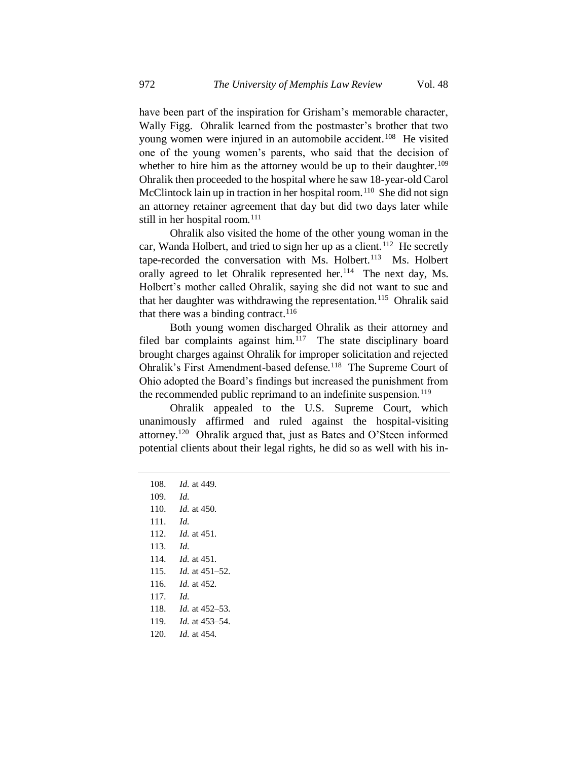have been part of the inspiration for Grisham's memorable character, Wally Figg. Ohralik learned from the postmaster's brother that two young women were injured in an automobile accident.<sup>108</sup> He visited one of the young women's parents, who said that the decision of whether to hire him as the attorney would be up to their daughter.<sup>109</sup> Ohralik then proceeded to the hospital where he saw 18-year-old Carol McClintock lain up in traction in her hospital room.<sup>110</sup> She did not sign an attorney retainer agreement that day but did two days later while still in her hospital room.<sup>111</sup>

Ohralik also visited the home of the other young woman in the car, Wanda Holbert, and tried to sign her up as a client.<sup>112</sup> He secretly tape-recorded the conversation with Ms. Holbert.<sup>113</sup> Ms. Holbert orally agreed to let Ohralik represented her.<sup>114</sup> The next day, Ms. Holbert's mother called Ohralik, saying she did not want to sue and that her daughter was withdrawing the representation.<sup>115</sup> Ohralik said that there was a binding contract.<sup>116</sup>

Both young women discharged Ohralik as their attorney and filed bar complaints against him.<sup>117</sup> The state disciplinary board brought charges against Ohralik for improper solicitation and rejected Ohralik's First Amendment-based defense.<sup>118</sup> The Supreme Court of Ohio adopted the Board's findings but increased the punishment from the recommended public reprimand to an indefinite suspension.<sup>119</sup>

Ohralik appealed to the U.S. Supreme Court, which unanimously affirmed and ruled against the hospital-visiting attorney.<sup>120</sup> Ohralik argued that, just as Bates and O'Steen informed potential clients about their legal rights, he did so as well with his in-

- 113. *Id.*
- 114. *Id.* at 451.
- 115. *Id.* at 451–52.
- 116. *Id.* at 452.
- 117. *Id.*
- 118. *Id.* at 452–53.
- 119. *Id.* at 453–54.
- 120. *Id.* at 454.

<sup>108.</sup> *Id.* at 449.

<sup>109.</sup> *Id.*

<sup>110.</sup> *Id.* at 450.

<sup>111.</sup> *Id.*

<sup>112.</sup> *Id.* at 451.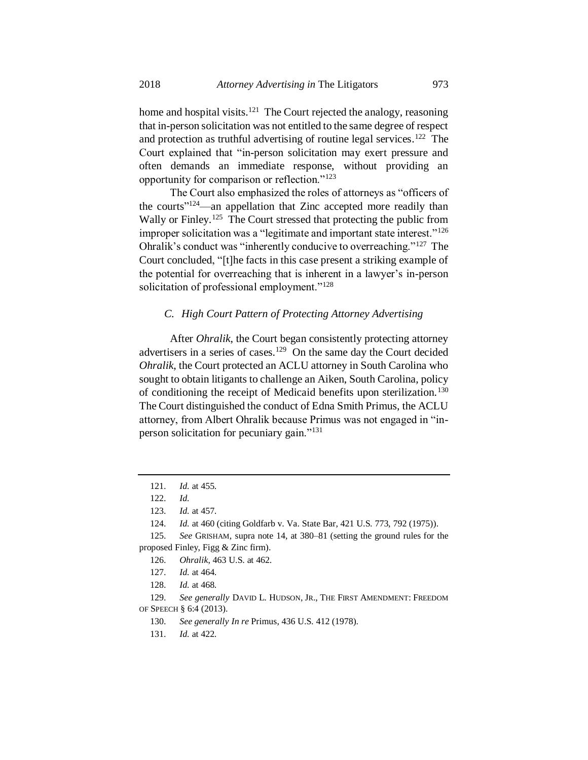home and hospital visits.<sup>121</sup> The Court rejected the analogy, reasoning that in-person solicitation was not entitled to the same degree of respect and protection as truthful advertising of routine legal services. 122 The Court explained that "in-person solicitation may exert pressure and often demands an immediate response, without providing an opportunity for comparison or reflection."<sup>123</sup>

The Court also emphasized the roles of attorneys as "officers of the courts<sup>"124</sup>—an appellation that Zinc accepted more readily than Wally or Finley.<sup>125</sup> The Court stressed that protecting the public from improper solicitation was a "legitimate and important state interest."<sup>126</sup> Ohralik's conduct was "inherently conducive to overreaching."<sup>127</sup> The Court concluded, "[t]he facts in this case present a striking example of the potential for overreaching that is inherent in a lawyer's in-person solicitation of professional employment."<sup>128</sup>

#### *C. High Court Pattern of Protecting Attorney Advertising*

After *Ohralik*, the Court began consistently protecting attorney advertisers in a series of cases.<sup>129</sup> On the same day the Court decided *Ohralik*, the Court protected an ACLU attorney in South Carolina who sought to obtain litigants to challenge an Aiken, South Carolina, policy of conditioning the receipt of Medicaid benefits upon sterilization.<sup>130</sup> The Court distinguished the conduct of Edna Smith Primus, the ACLU attorney, from Albert Ohralik because Primus was not engaged in "inperson solicitation for pecuniary gain."<sup>131</sup>

<sup>121.</sup> *Id.* at 455.

<sup>122.</sup> *Id.*

<sup>123.</sup> *Id.* at 457.

<sup>124.</sup> *Id.* at 460 (citing Goldfarb v. Va. State Bar, 421 U.S. 773, 792 (1975)).

<sup>125.</sup> *See* GRISHAM, supra note [14,](#page-4-0) at 380–81 (setting the ground rules for the proposed Finley, Figg & Zinc firm).

<sup>126.</sup> *Ohralik*, 463 U.S. at 462.

<sup>127.</sup> *Id.* at 464.

<sup>128.</sup> *Id.* at 468.

<sup>129.</sup> *See generally* DAVID L. HUDSON, JR., THE FIRST AMENDMENT: FREEDOM OF SPEECH § 6:4 (2013).

<sup>130.</sup> *See generally In re* Primus, 436 U.S. 412 (1978).

<sup>131.</sup> *Id.* at 422.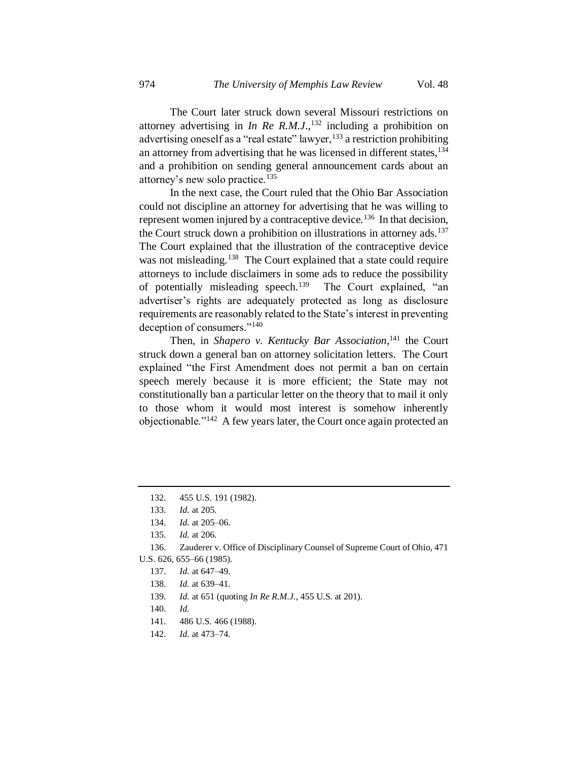The Court later struck down several Missouri restrictions on attorney advertising in *In Re R.M.J*., <sup>132</sup> including a prohibition on advertising oneself as a "real estate" lawyer,  $133$  a restriction prohibiting an attorney from advertising that he was licensed in different states,  $134$ and a prohibition on sending general announcement cards about an attorney's new solo practice.<sup>135</sup>

In the next case, the Court ruled that the Ohio Bar Association could not discipline an attorney for advertising that he was willing to represent women injured by a contraceptive device.<sup>136</sup> In that decision, the Court struck down a prohibition on illustrations in attorney ads.<sup>137</sup> The Court explained that the illustration of the contraceptive device was not misleading.<sup>138</sup> The Court explained that a state could require attorneys to include disclaimers in some ads to reduce the possibility of potentially misleading speech.<sup>139</sup> The Court explained, "an advertiser's rights are adequately protected as long as disclosure requirements are reasonably related to the State's interest in preventing deception of consumers."<sup>140</sup>

Then, in *Shapero v. Kentucky Bar Association*, <sup>141</sup> the Court struck down a general ban on attorney solicitation letters. The Court explained "the First Amendment does not permit a ban on certain speech merely because it is more efficient; the State may not constitutionally ban a particular letter on the theory that to mail it only to those whom it would most interest is somehow inherently objectionable."<sup>142</sup> A few years later, the Court once again protected an

- 138. *Id.* at 639–41.
- 139. *Id.* at 651 (quoting *In Re R.M.J.*, 455 U.S. at 201).
- 140. *Id.*
- 141. 486 U.S. 466 (1988).
- 142. *Id.* at 473–74.

<sup>132.</sup> 455 U.S. 191 (1982).

<sup>133.</sup> *Id.* at 205.

<sup>134.</sup> *Id.* at 205–06.

<sup>135.</sup> *Id.* at 206.

<sup>136.</sup> Zauderer v. Office of Disciplinary Counsel of Supreme Court of Ohio, 471 U.S. 626, 655–66 (1985).

<sup>137.</sup> *Id.* at 647–49.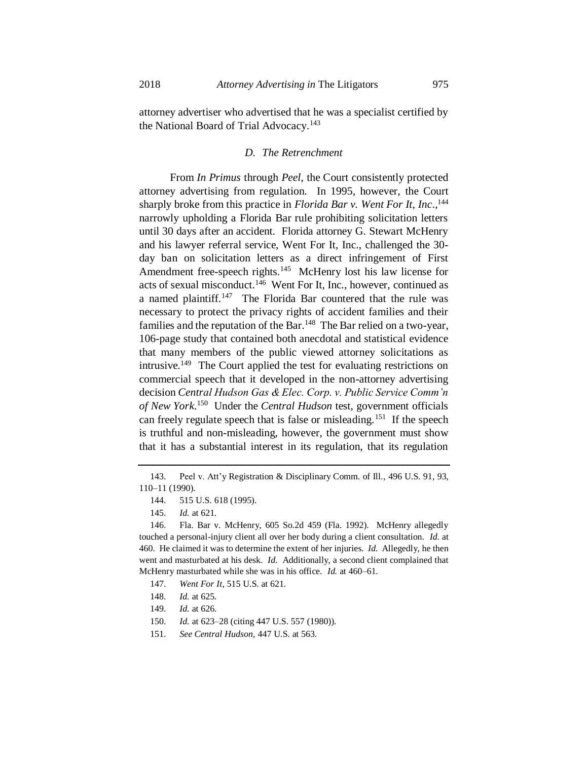attorney advertiser who advertised that he was a specialist certified by the National Board of Trial Advocacy.<sup>143</sup>

### *D. The Retrenchment*

From *In Primus* through *Peel*, the Court consistently protected attorney advertising from regulation. In 1995, however, the Court sharply broke from this practice in *Florida Bar v. Went For It, Inc*., 144 narrowly upholding a Florida Bar rule prohibiting solicitation letters until 30 days after an accident. Florida attorney G. Stewart McHenry and his lawyer referral service, Went For It, Inc., challenged the 30 day ban on solicitation letters as a direct infringement of First Amendment free-speech rights.<sup>145</sup> McHenry lost his law license for acts of sexual misconduct.<sup>146</sup> Went For It, Inc., however, continued as a named plaintiff.<sup>147</sup> The Florida Bar countered that the rule was necessary to protect the privacy rights of accident families and their families and the reputation of the Bar.<sup>148</sup> The Bar relied on a two-year, 106-page study that contained both anecdotal and statistical evidence that many members of the public viewed attorney solicitations as intrusive.<sup>149</sup> The Court applied the test for evaluating restrictions on commercial speech that it developed in the non-attorney advertising decision *Central Hudson Gas & Elec. Corp. v. Public Service Comm'n of New York*. 150 Under the *Central Hudson* test, government officials can freely regulate speech that is false or misleading.<sup>151</sup> If the speech is truthful and non-misleading, however, the government must show that it has a substantial interest in its regulation, that its regulation

151. *See Central Hudson*, 447 U.S. at 563.

<sup>143.</sup> Peel v. Att'y Registration & Disciplinary Comm. of Ill., 496 U.S. 91, 93, 110–11 (1990).

<sup>144.</sup> 515 U.S. 618 (1995).

<sup>145.</sup> *Id.* at 621.

<sup>146.</sup> Fla. Bar v. McHenry, 605 So.2d 459 (Fla. 1992). McHenry allegedly touched a personal-injury client all over her body during a client consultation. *Id.* at 460. He claimed it was to determine the extent of her injuries. *Id.* Allegedly, he then went and masturbated at his desk. *Id.* Additionally, a second client complained that McHenry masturbated while she was in his office. *Id.* at 460–61.

<sup>147.</sup> *Went For It*, 515 U.S. at 621.

<sup>148.</sup> *Id.* at 625.

<sup>149.</sup> *Id.* at 626.

<sup>150.</sup> *Id.* at 623–28 (citing 447 U.S. 557 (1980)).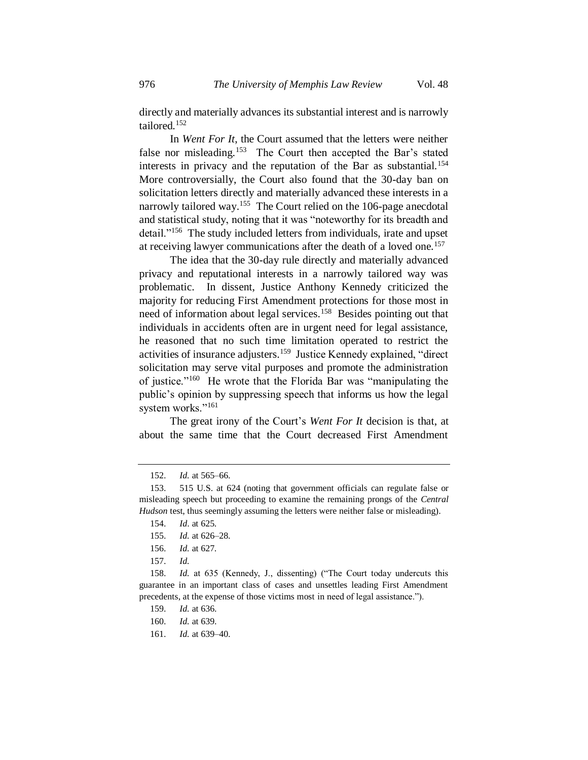directly and materially advances its substantial interest and is narrowly tailored.<sup>152</sup>

In *Went For It*, the Court assumed that the letters were neither false nor misleading.<sup>153</sup> The Court then accepted the Bar's stated interests in privacy and the reputation of the Bar as substantial.<sup>154</sup> More controversially, the Court also found that the 30-day ban on solicitation letters directly and materially advanced these interests in a narrowly tailored way.<sup>155</sup> The Court relied on the 106-page anecdotal and statistical study, noting that it was "noteworthy for its breadth and detail."<sup>156</sup> The study included letters from individuals, irate and upset at receiving lawyer communications after the death of a loved one.<sup>157</sup>

The idea that the 30-day rule directly and materially advanced privacy and reputational interests in a narrowly tailored way was problematic. In dissent, Justice Anthony Kennedy criticized the majority for reducing First Amendment protections for those most in need of information about legal services.<sup>158</sup> Besides pointing out that individuals in accidents often are in urgent need for legal assistance, he reasoned that no such time limitation operated to restrict the activities of insurance adjusters.<sup>159</sup> Justice Kennedy explained, "direct solicitation may serve vital purposes and promote the administration of justice."<sup>160</sup> He wrote that the Florida Bar was "manipulating the public's opinion by suppressing speech that informs us how the legal system works."<sup>161</sup>

The great irony of the Court's *Went For It* decision is that, at about the same time that the Court decreased First Amendment

156. *Id.* at 627.

- 159. *Id.* at 636.
- 160. *Id.* at 639.
- 161. *Id.* at 639–40.

<sup>152.</sup> *Id.* at 565–66.

<sup>153.</sup> 515 U.S. at 624 (noting that government officials can regulate false or misleading speech but proceeding to examine the remaining prongs of the *Central Hudson* test, thus seemingly assuming the letters were neither false or misleading).

<sup>154.</sup> *Id*. at 625.

<sup>155.</sup> *Id.* at 626–28.

<sup>157.</sup> *Id.*

<sup>158.</sup> *Id.* at 635 (Kennedy, J., dissenting) ("The Court today undercuts this guarantee in an important class of cases and unsettles leading First Amendment precedents, at the expense of those victims most in need of legal assistance.").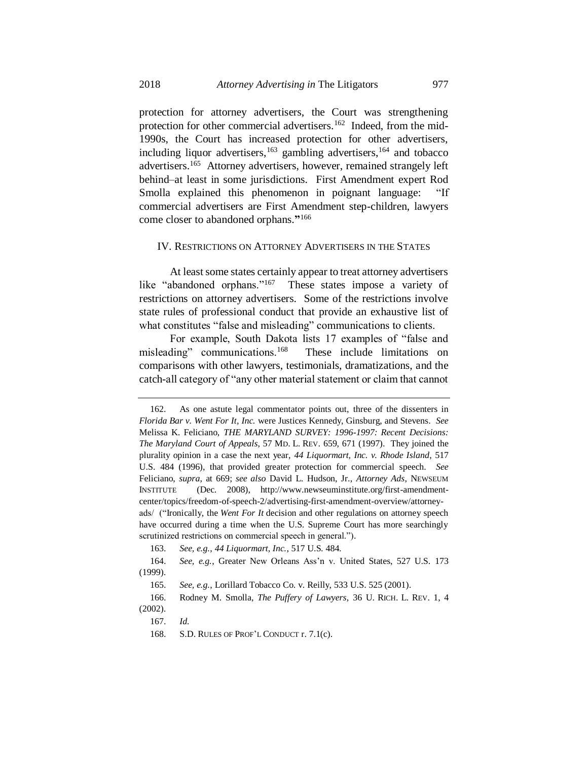protection for attorney advertisers, the Court was strengthening protection for other commercial advertisers.<sup>162</sup> Indeed, from the mid-1990s, the Court has increased protection for other advertisers, including liquor advertisers, $163$  gambling advertisers, $164$  and tobacco advertisers.<sup>165</sup> Attorney advertisers, however, remained strangely left behind–at least in some jurisdictions. First Amendment expert Rod Smolla explained this phenomenon in poignant language: "If commercial advertisers are First Amendment step-children, lawyers come closer to abandoned orphans.**"** 166

#### IV. RESTRICTIONS ON ATTORNEY ADVERTISERS IN THE STATES

At least some states certainly appear to treat attorney advertisers like "abandoned orphans."<sup>167</sup> These states impose a variety of restrictions on attorney advertisers. Some of the restrictions involve state rules of professional conduct that provide an exhaustive list of what constitutes "false and misleading" communications to clients.

For example, South Dakota lists 17 examples of "false and misleading" communications.<sup>168</sup> These include limitations on comparisons with other lawyers, testimonials, dramatizations, and the catch-all category of "any other material statement or claim that cannot

<sup>162.</sup> As one astute legal commentator points out, three of the dissenters in *Florida Bar v. Went For It, Inc.* were Justices Kennedy, Ginsburg, and Stevens. *See* Melissa K. Feliciano, *THE MARYLAND SURVEY: 1996-1997: Recent Decisions: The Maryland Court of Appeals*, 57 MD. L. REV. 659, 671 (1997). They joined the plurality opinion in a case the next year, *44 Liquormart, Inc. v. Rhode Island*, 517 U.S. 484 (1996), that provided greater protection for commercial speech. *See* Feliciano, *supra*, at 669; *see also* David L. Hudson, Jr., *Attorney Ads*, NEWSEUM INSTITUTE (Dec. 2008), http://www.newseuminstitute.org/first-amendmentcenter/topics/freedom-of-speech-2/advertising-first-amendment-overview/attorneyads/ ("Ironically, the *Went For It* decision and other regulations on attorney speech have occurred during a time when the U.S. Supreme Court has more searchingly scrutinized restrictions on commercial speech in general.").

<sup>163.</sup> *See, e.g.*, *44 Liquormart, Inc.*, 517 U.S. 484.

<sup>164.</sup> *See, e.g.*, Greater New Orleans Ass'n v. United States, 527 U.S. 173 (1999).

<sup>165.</sup> *See, e.g.*, Lorillard Tobacco Co. v. Reilly, 533 U.S. 525 (2001).

<sup>166.</sup> Rodney M. Smolla, *The Puffery of Lawyers*, 36 U. RICH. L. REV. 1, 4 (2002).

<sup>167.</sup> *Id.*

<sup>168.</sup> S.D. RULES OF PROF'L CONDUCT r. 7.1(c).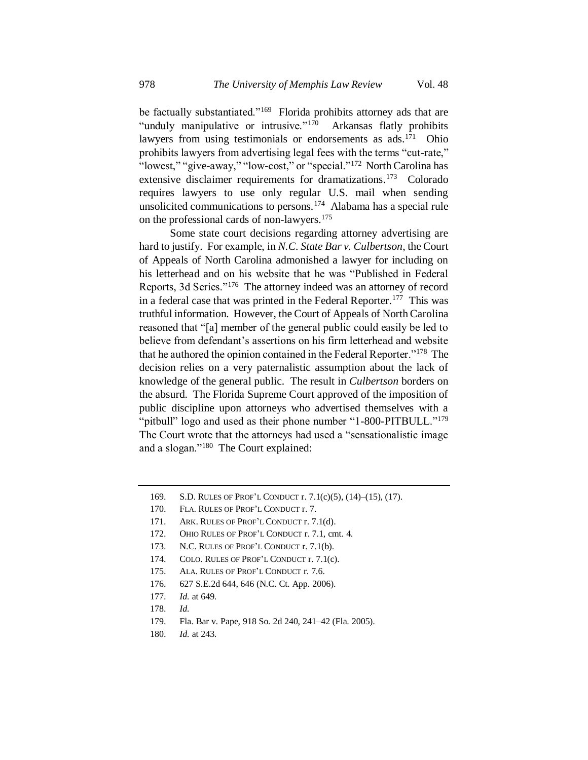be factually substantiated."<sup>169</sup> Florida prohibits attorney ads that are "unduly manipulative or intrusive."<sup>170</sup> Arkansas flatly prohibits lawyers from using testimonials or endorsements as ads.<sup>171</sup> Ohio prohibits lawyers from advertising legal fees with the terms "cut-rate," "lowest," "give-away," "low-cost," or "special."<sup>172</sup> North Carolina has extensive disclaimer requirements for dramatizations.<sup>173</sup> Colorado requires lawyers to use only regular U.S. mail when sending unsolicited communications to persons.<sup>174</sup> Alabama has a special rule on the professional cards of non-lawyers.<sup>175</sup>

Some state court decisions regarding attorney advertising are hard to justify. For example, in *N.C. State Bar v. Culbertson*, the Court of Appeals of North Carolina admonished a lawyer for including on his letterhead and on his website that he was "Published in Federal Reports, 3d Series."<sup>176</sup> The attorney indeed was an attorney of record in a federal case that was printed in the Federal Reporter.<sup>177</sup> This was truthful information. However, the Court of Appeals of North Carolina reasoned that "[a] member of the general public could easily be led to believe from defendant's assertions on his firm letterhead and website that he authored the opinion contained in the Federal Reporter."<sup>178</sup> The decision relies on a very paternalistic assumption about the lack of knowledge of the general public. The result in *Culbertson* borders on the absurd. The Florida Supreme Court approved of the imposition of public discipline upon attorneys who advertised themselves with a "pitbull" logo and used as their phone number "1-800-PITBULL."<sup>179</sup> The Court wrote that the attorneys had used a "sensationalistic image and a slogan."<sup>180</sup> The Court explained:

- 174. COLO. RULES OF PROF'L CONDUCT r. 7.1(c).
- 175. ALA. RULES OF PROF'L CONDUCT r. 7.6.
- 176. 627 S.E.2d 644, 646 (N.C. Ct. App. 2006).
- 177. *Id.* at 649.
- 178. *Id.*
- 179. Fla. Bar v. Pape, 918 So. 2d 240, 241–42 (Fla. 2005).
- 180. *Id.* at 243.

<sup>169.</sup> S.D. RULES OF PROF'L CONDUCT r. 7.1(c)(5), (14)–(15), (17).

<sup>170.</sup> FLA. RULES OF PROF'L CONDUCT r. 7.

<sup>171.</sup> ARK. RULES OF PROF'L CONDUCT r. 7.1(d).

<sup>172.</sup> OHIO RULES OF PROF'L CONDUCT r. 7.1, cmt. 4.

<sup>173.</sup> N.C. RULES OF PROF'L CONDUCT r. 7.1(b).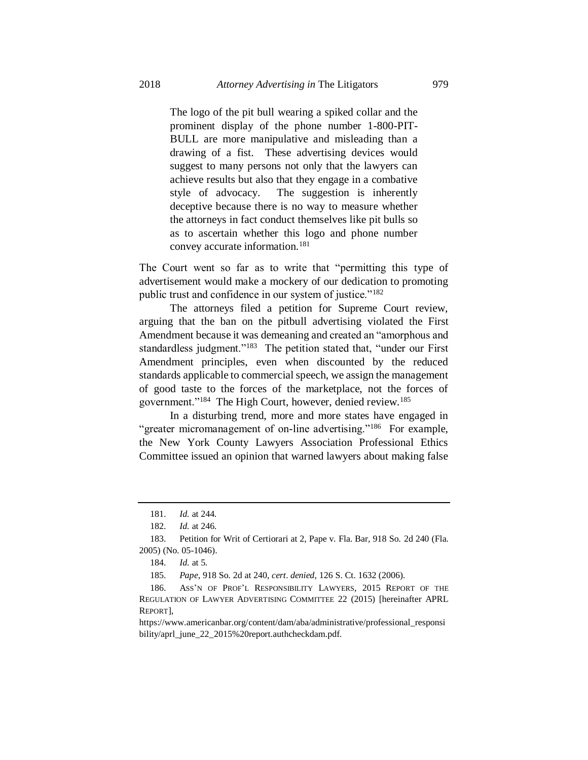The logo of the pit bull wearing a spiked collar and the prominent display of the phone number 1-800-PIT-BULL are more manipulative and misleading than a drawing of a fist. These advertising devices would suggest to many persons not only that the lawyers can achieve results but also that they engage in a combative style of advocacy. The suggestion is inherently deceptive because there is no way to measure whether the attorneys in fact conduct themselves like pit bulls so as to ascertain whether this logo and phone number convey accurate information.<sup>181</sup>

The Court went so far as to write that "permitting this type of advertisement would make a mockery of our dedication to promoting public trust and confidence in our system of justice."<sup>182</sup>

The attorneys filed a petition for Supreme Court review, arguing that the ban on the pitbull advertising violated the First Amendment because it was demeaning and created an "amorphous and standardless judgment."<sup>183</sup> The petition stated that, "under our First Amendment principles, even when discounted by the reduced standards applicable to commercial speech, we assign the management of good taste to the forces of the marketplace, not the forces of government."<sup>184</sup> The High Court, however, denied review.<sup>185</sup>

<span id="page-21-0"></span>In a disturbing trend, more and more states have engaged in "greater micromanagement of on-line advertising."<sup>186</sup> For example, the New York County Lawyers Association Professional Ethics Committee issued an opinion that warned lawyers about making false

<sup>181.</sup> *Id.* at 244.

<sup>182.</sup> *Id.* at 246.

<sup>183.</sup> Petition for Writ of Certiorari at 2, Pape v. Fla. Bar, 918 So. 2d 240 (Fla. 2005) (No. 05-1046).

<sup>184.</sup> *Id.* at 5.

<sup>185.</sup> *Pape*, 918 So. 2d at 240, *cert*. *denied*, 126 S. Ct. 1632 (2006).

<sup>186.</sup> ASS'N OF PROF'L RESPONSIBILITY LAWYERS, 2015 REPORT OF THE REGULATION OF LAWYER ADVERTISING COMMITTEE 22 (2015) [hereinafter APRL REPORT],

https://www.americanbar.org/content/dam/aba/administrative/professional\_responsi bility/aprl\_june\_22\_2015%20report.authcheckdam.pdf.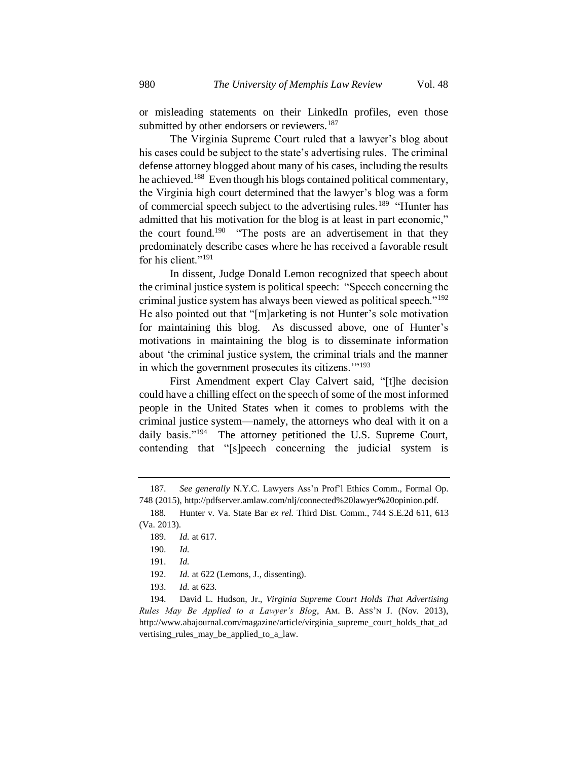or misleading statements on their LinkedIn profiles, even those submitted by other endorsers or reviewers.<sup>187</sup>

The Virginia Supreme Court ruled that a lawyer's blog about his cases could be subject to the state's advertising rules. The criminal defense attorney blogged about many of his cases, including the results he achieved.<sup>188</sup> Even though his blogs contained political commentary, the Virginia high court determined that the lawyer's blog was a form of commercial speech subject to the advertising rules.<sup>189</sup> "Hunter has admitted that his motivation for the blog is at least in part economic," the court found.<sup>190</sup> "The posts are an advertisement in that they predominately describe cases where he has received a favorable result for his client."<sup>191</sup>

In dissent, Judge Donald Lemon recognized that speech about the criminal justice system is political speech: "Speech concerning the criminal justice system has always been viewed as political speech."<sup>192</sup> He also pointed out that "[m]arketing is not Hunter's sole motivation for maintaining this blog. As discussed above, one of Hunter's motivations in maintaining the blog is to disseminate information about 'the criminal justice system, the criminal trials and the manner in which the government prosecutes its citizens.'"<sup>193</sup>

First Amendment expert Clay Calvert said, "[t]he decision could have a chilling effect on the speech of some of the most informed people in the United States when it comes to problems with the criminal justice system—namely, the attorneys who deal with it on a daily basis."<sup>194</sup> The attorney petitioned the U.S. Supreme Court, contending that "[s]peech concerning the judicial system is

<sup>187.</sup> *See generally* N.Y.C. Lawyers Ass'n Prof'l Ethics Comm., Formal Op. 748 (2015), http://pdfserver.amlaw.com/nlj/connected%20lawyer%20opinion.pdf.

<sup>188</sup>*.* Hunter v. Va. State Bar *ex rel.* Third Dist. Comm., 744 S.E.2d 611, 613 (Va. 2013).

<sup>189.</sup> *Id.* at 617.

<sup>190.</sup> *Id.*

<sup>191.</sup> *Id.*

<sup>192.</sup> *Id.* at 622 (Lemons, J., dissenting).

<sup>193.</sup> *Id.* at 623.

<sup>194.</sup> David L. Hudson, Jr., *Virginia Supreme Court Holds That Advertising Rules May Be Applied to a Lawyer's Blog*, AM. B. ASS'N J. (Nov. 2013), http://www.abajournal.com/magazine/article/virginia\_supreme\_court\_holds\_that\_ad vertising\_rules\_may\_be\_applied\_to\_a\_law.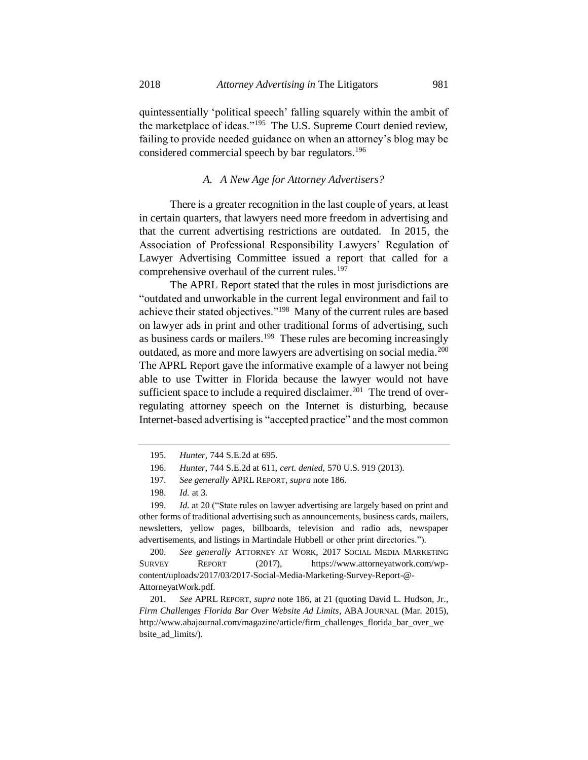quintessentially 'political speech' falling squarely within the ambit of the marketplace of ideas."<sup>195</sup> The U.S. Supreme Court denied review, failing to provide needed guidance on when an attorney's blog may be considered commercial speech by bar regulators.<sup>196</sup>

#### *A. A New Age for Attorney Advertisers?*

There is a greater recognition in the last couple of years, at least in certain quarters, that lawyers need more freedom in advertising and that the current advertising restrictions are outdated. In 2015, the Association of Professional Responsibility Lawyers' Regulation of Lawyer Advertising Committee issued a report that called for a comprehensive overhaul of the current rules.<sup>197</sup>

The APRL Report stated that the rules in most jurisdictions are "outdated and unworkable in the current legal environment and fail to achieve their stated objectives."<sup>198</sup> Many of the current rules are based on lawyer ads in print and other traditional forms of advertising, such as business cards or mailers.<sup>199</sup> These rules are becoming increasingly outdated, as more and more lawyers are advertising on social media.<sup>200</sup> The APRL Report gave the informative example of a lawyer not being able to use Twitter in Florida because the lawyer would not have sufficient space to include a required disclaimer.<sup>201</sup> The trend of overregulating attorney speech on the Internet is disturbing, because Internet-based advertising is "accepted practice" and the most common

201. *See* APRL REPORT, *supra* note [186,](#page-21-0) at 21 (quoting David L. Hudson, Jr., *Firm Challenges Florida Bar Over Website Ad Limits*, ABA JOURNAL (Mar. 2015), http://www.abajournal.com/magazine/article/firm\_challenges\_florida\_bar\_over\_we bsite\_ad\_limits/).

<sup>195.</sup> *Hunter*, 744 S.E.2d at 695.

<sup>196.</sup> *Hunter*, 744 S.E.2d at 611, *cert. denied*, 570 U.S. 919 (2013).

<sup>197.</sup> *See generally* APRL REPORT, *supra* note [186.](#page-21-0)

<sup>198.</sup> *Id.* at 3.

<sup>199.</sup> *Id.* at 20 ("State rules on lawyer advertising are largely based on print and other forms of traditional advertising such as announcements, business cards, mailers, newsletters, yellow pages, billboards, television and radio ads, newspaper advertisements, and listings in Martindale Hubbell or other print directories.").

<sup>200.</sup> *See generally* ATTORNEY AT WORK, 2017 SOCIAL MEDIA MARKETING SURVEY REPORT (2017), https://www.attorneyatwork.com/wpcontent/uploads/2017/03/2017-Social-Media-Marketing-Survey-Report-@- AttorneyatWork.pdf.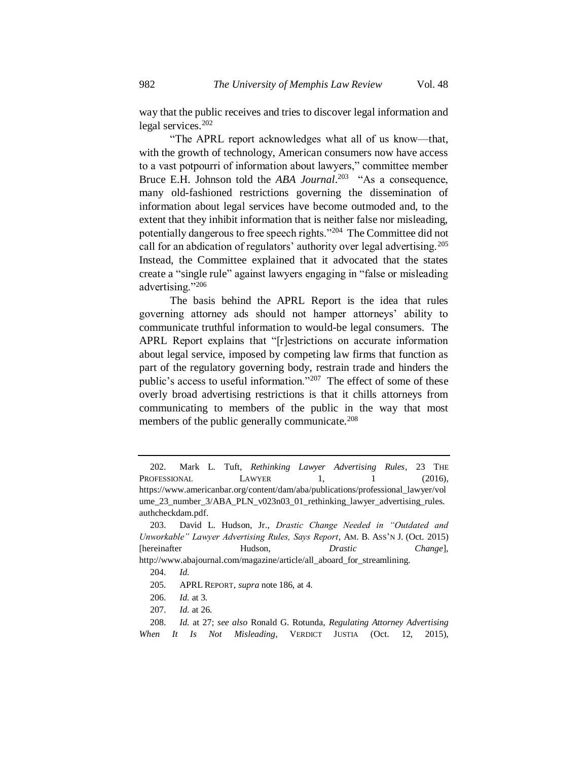way that the public receives and tries to discover legal information and legal services.<sup>202</sup>

<span id="page-24-0"></span>"The APRL report acknowledges what all of us know—that, with the growth of technology, American consumers now have access to a vast potpourri of information about lawyers," committee member Bruce E.H. Johnson told the *ABA Journal*.<sup>203</sup> "As a consequence, many old-fashioned restrictions governing the dissemination of information about legal services have become outmoded and, to the extent that they inhibit information that is neither false nor misleading, potentially dangerous to free speech rights."<sup>204</sup> The Committee did not call for an abdication of regulators' authority over legal advertising.<sup>205</sup> Instead, the Committee explained that it advocated that the states create a "single rule" against lawyers engaging in "false or misleading advertising."<sup>206</sup>

The basis behind the APRL Report is the idea that rules governing attorney ads should not hamper attorneys' ability to communicate truthful information to would-be legal consumers. The APRL Report explains that "[r]estrictions on accurate information about legal service, imposed by competing law firms that function as part of the regulatory governing body, restrain trade and hinders the public's access to useful information."<sup>207</sup> The effect of some of these overly broad advertising restrictions is that it chills attorneys from communicating to members of the public in the way that most members of the public generally communicate.<sup>208</sup>

<sup>202.</sup> Mark L. Tuft, *Rethinking Lawyer Advertising Rules*, 23 THE PROFESSIONAL LAWYER 1, 1 (2016), https://www.americanbar.org/content/dam/aba/publications/professional\_lawyer/vol ume\_23\_number\_3/ABA\_PLN\_v023n03\_01\_rethinking\_lawyer\_advertising\_rules. authcheckdam.pdf.

<sup>203.</sup> David L. Hudson, Jr., *Drastic Change Needed in "Outdated and Unworkable" Lawyer Advertising Rules, Says Report*, AM. B. ASS'N J. (Oct. 2015) [hereinafter Hudson, *Drastic Change*], http://www.abajournal.com/magazine/article/all\_aboard\_for\_streamlining.

<sup>204.</sup> *Id.*

<sup>205.</sup> APRL REPORT, *supra* note [186,](#page-21-0) at 4.

<sup>206.</sup> *Id.* at 3.

<sup>207.</sup> *Id.* at 26.

<sup>208.</sup> *Id.* at 27; *see also* Ronald G. Rotunda, *Regulating Attorney Advertising When It Is Not Misleading*, VERDICT JUSTIA (Oct. 12, 2015),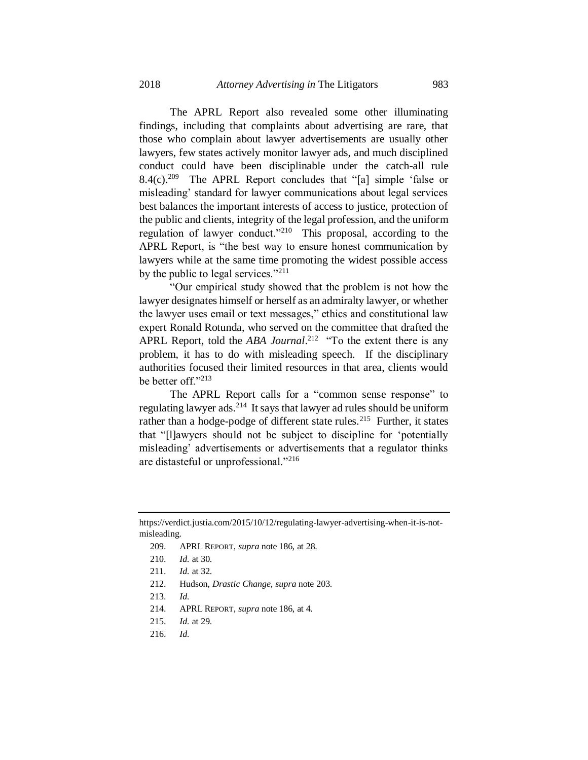The APRL Report also revealed some other illuminating findings, including that complaints about advertising are rare, that those who complain about lawyer advertisements are usually other lawyers, few states actively monitor lawyer ads, and much disciplined conduct could have been disciplinable under the catch-all rule  $8.4(c)$ .<sup>209</sup> The APRL Report concludes that "[a] simple 'false or misleading' standard for lawyer communications about legal services best balances the important interests of access to justice, protection of the public and clients, integrity of the legal profession, and the uniform regulation of lawyer conduct."<sup>210</sup> This proposal, according to the APRL Report, is "the best way to ensure honest communication by lawyers while at the same time promoting the widest possible access by the public to legal services."<sup>211</sup>

"Our empirical study showed that the problem is not how the lawyer designates himself or herself as an admiralty lawyer, or whether the lawyer uses email or text messages," ethics and constitutional law expert Ronald Rotunda, who served on the committee that drafted the APRL Report, told the *ABA Journal*.<sup>212</sup> "To the extent there is any problem, it has to do with misleading speech. If the disciplinary authorities focused their limited resources in that area, clients would be better off."<sup>213</sup>

The APRL Report calls for a "common sense response" to regulating lawyer ads.<sup>214</sup> It says that lawyer ad rules should be uniform rather than a hodge-podge of different state rules.<sup>215</sup> Further, it states that "[l]awyers should not be subject to discipline for 'potentially misleading' advertisements or advertisements that a regulator thinks are distasteful or unprofessional."<sup>216</sup>

- 209. APRL REPORT, *supra* note [186,](#page-21-0) at 28.
- 210. *Id.* at 30.
- 211. *Id.* at 32.
- 212. Hudson, *Drastic Change*, *supra* not[e 203.](#page-24-0)
- 213. *Id.*
- 214. APRL REPORT, *supra* note [186,](#page-21-0) at 4.
- 215. *Id.* at 29.
- 216. *Id.*

https://verdict.justia.com/2015/10/12/regulating-lawyer-advertising-when-it-is-notmisleading.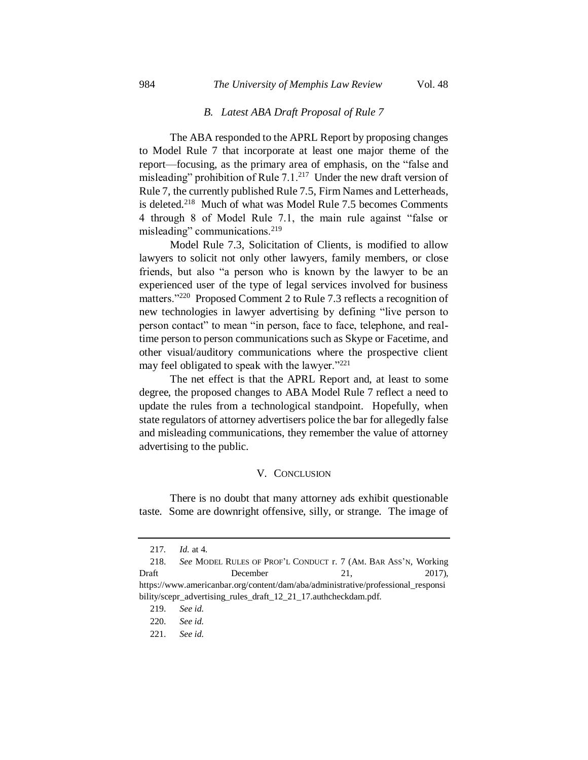#### *B. Latest ABA Draft Proposal of Rule 7*

The ABA responded to the APRL Report by proposing changes to Model Rule 7 that incorporate at least one major theme of the report—focusing, as the primary area of emphasis, on the "false and misleading" prohibition of Rule 7.1.<sup>217</sup> Under the new draft version of Rule 7, the currently published Rule 7.5, Firm Names and Letterheads, is deleted.<sup>218</sup> Much of what was Model Rule 7.5 becomes Comments 4 through 8 of Model Rule 7.1, the main rule against "false or misleading" communications.<sup>219</sup>

Model Rule 7.3, Solicitation of Clients, is modified to allow lawyers to solicit not only other lawyers, family members, or close friends, but also "a person who is known by the lawyer to be an experienced user of the type of legal services involved for business matters."<sup>220</sup> Proposed Comment 2 to Rule 7.3 reflects a recognition of new technologies in lawyer advertising by defining "live person to person contact" to mean "in person, face to face, telephone, and realtime person to person communications such as Skype or Facetime, and other visual/auditory communications where the prospective client may feel obligated to speak with the lawyer."<sup>221</sup>

The net effect is that the APRL Report and, at least to some degree, the proposed changes to ABA Model Rule 7 reflect a need to update the rules from a technological standpoint. Hopefully, when state regulators of attorney advertisers police the bar for allegedly false and misleading communications, they remember the value of attorney advertising to the public.

#### V. CONCLUSION

There is no doubt that many attorney ads exhibit questionable taste. Some are downright offensive, silly, or strange. The image of

221. *See id.*

<sup>217</sup>*. Id.* at 4.

<sup>218.</sup> *See* MODEL RULES OF PROF'L CONDUCT r. 7 (AM. BAR ASS'N, Working Draft December 21, 2017), https://www.americanbar.org/content/dam/aba/administrative/professional\_responsi bility/scepr\_advertising\_rules\_draft\_12\_21\_17.authcheckdam.pdf.

<sup>219.</sup> *See id.*

<sup>220.</sup> *See id.*